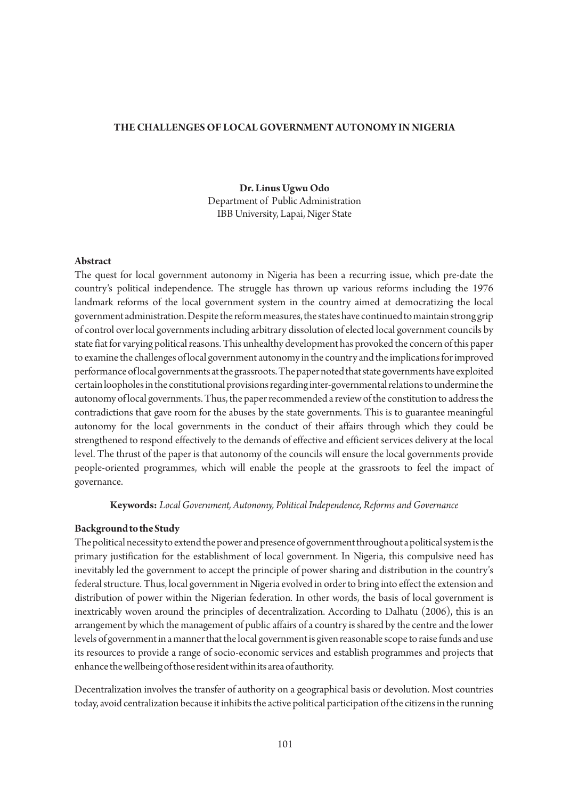### **THE CHALLENGES OF LOCAL GOVERNMENT AUTONOMY IN NIGERIA**

## **Dr. Linus Ugwu Odo** Department of Public Administration IBB University, Lapai, Niger State

### **Abstract**

The quest for local government autonomy in Nigeria has been a recurring issue, which pre-date the country's political independence. The struggle has thrown up various reforms including the 1976 landmark reforms of the local government system in the country aimed at democratizing the local government administration. Despite the reform measures, the states have continued to maintain strong grip of control over local governments including arbitrary dissolution of elected local government councils by state fiat for varying political reasons. This unhealthy development has provoked the concern of this paper to examine the challenges of local government autonomy in the country and the implications for improved performance of local governments at the grassroots. The paper noted that state governments have exploited certain loopholes in the constitutional provisions regarding inter-governmental relations to undermine the autonomy of local governments. Thus, the paper recommended a review of the constitution to address the contradictions that gave room for the abuses by the state governments. This is to guarantee meaningful autonomy for the local governments in the conduct of their affairs through which they could be strengthened to respond effectively to the demands of effective and efficient services delivery at the local level. The thrust of the paper is that autonomy of the councils will ensure the local governments provide people-oriented programmes, which will enable the people at the grassroots to feel the impact of governance.

**Keywords:** *Local Government, Autonomy, Political Independence, Reforms and Governance*

#### **Background to the Study**

The political necessity to extend the power and presence of government throughout a political system is the primary justification for the establishment of local government. In Nigeria, this compulsive need has inevitably led the government to accept the principle of power sharing and distribution in the country's federal structure. Thus, local government in Nigeria evolved in order to bring into effect the extension and distribution of power within the Nigerian federation. In other words, the basis of local government is inextricably woven around the principles of decentralization. According to Dalhatu (2006), this is an arrangement by which the management of public affairs of a country is shared by the centre and the lower levels of government in a manner that the local government is given reasonable scope to raise funds and use its resources to provide a range of socio-economic services and establish programmes and projects that enhance the wellbeing of those resident within its area of authority.

Decentralization involves the transfer of authority on a geographical basis or devolution. Most countries today, avoid centralization because it inhibits the active political participation of the citizens in the running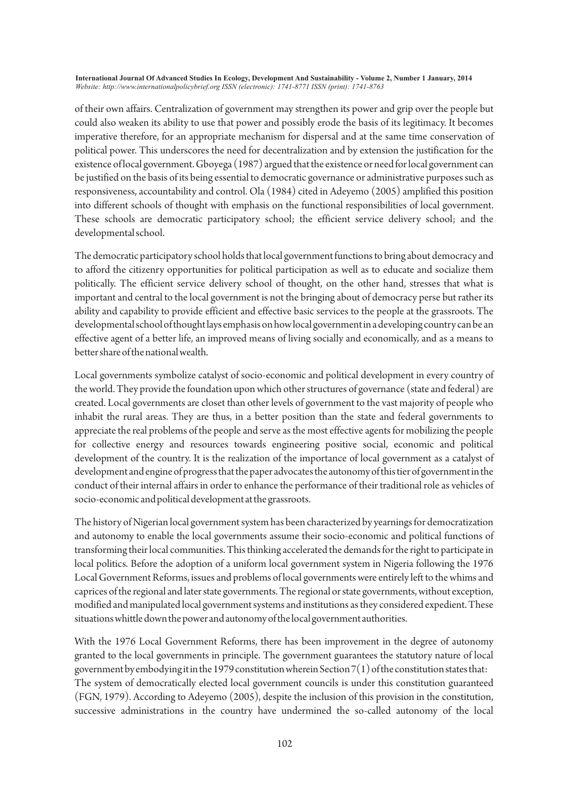of their own affairs. Centralization of government may strengthen its power and grip over the people but could also weaken its ability to use that power and possibly erode the basis of its legitimacy. It becomes imperative therefore, for an appropriate mechanism for dispersal and at the same time conservation of political power. This underscores the need for decentralization and by extension the justification for the existence of local government. Gboyega (1987) argued that the existence or need for local government can be justified on the basis of its being essential to democratic governance or administrative purposes such as responsiveness, accountability and control. Ola (1984) cited in Adeyemo (2005) amplified this position into different schools of thought with emphasis on the functional responsibilities of local government. These schools are democratic participatory school; the efficient service delivery school; and the developmental school.

The democratic participatory school holds that local government functions to bring about democracy and to afford the citizenry opportunities for political participation as well as to educate and socialize them politically. The efficient service delivery school of thought, on the other hand, stresses that what is important and central to the local government is not the bringing about of democracy perse but rather its ability and capability to provide efficient and effective basic services to the people at the grassroots. The developmental school of thought lays emphasis on how local government in a developing country can be an effective agent of a better life, an improved means of living socially and economically, and as a means to better share of the national wealth.

Local governments symbolize catalyst of socio-economic and political development in every country of the world. They provide the foundation upon which other structures of governance (state and federal) are created. Local governments are closet than other levels of government to the vast majority of people who inhabit the rural areas. They are thus, in a better position than the state and federal governments to appreciate the real problems of the people and serve as the most effective agents for mobilizing the people for collective energy and resources towards engineering positive social, economic and political development of the country. It is the realization of the importance of local government as a catalyst of development and engine of progress that the paper advocates the autonomy of this tier of government in the conduct of their internal affairs in order to enhance the performance of their traditional role as vehicles of socio-economic and political development at the grassroots.

The history of Nigerian local government system has been characterized by yearnings for democratization and autonomy to enable the local governments assume their socio-economic and political functions of transforming their local communities. This thinking accelerated the demands for the right to participate in local politics. Before the adoption of a uniform local government system in Nigeria following the 1976 Local Government Reforms, issues and problems of local governments were entirely left to the whims and caprices of the regional and later state governments. The regional or state governments, without exception, modified and manipulated local government systems and institutions as they considered expedient. These situations whittle down the power and autonomy of the local government authorities.

With the 1976 Local Government Reforms, there has been improvement in the degree of autonomy granted to the local governments in principle. The government guarantees the statutory nature of local government by embodying it in the 1979 constitution wherein Section 7(1) of the constitution states that: The system of democratically elected local government councils is under this constitution guaranteed (FGN, 1979). According to Adeyemo (2005), despite the inclusion of this provision in the constitution, successive administrations in the country have undermined the so-called autonomy of the local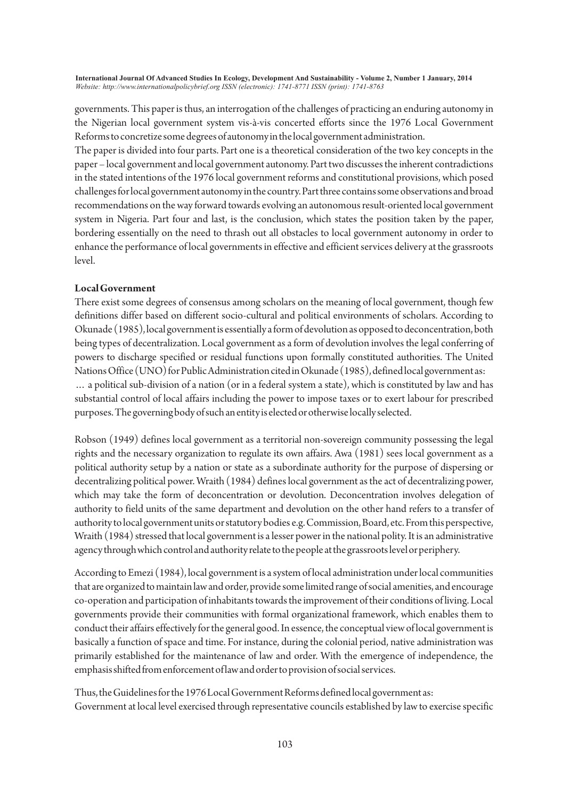governments. This paper is thus, an interrogation of the challenges of practicing an enduring autonomy in the Nigerian local government system vis-à-vis concerted efforts since the 1976 Local Government Reforms to concretize some degrees of autonomy in the local government administration.

The paper is divided into four parts. Part one is a theoretical consideration of the two key concepts in the paper – local government and local government autonomy. Part two discusses the inherent contradictions in the stated intentions of the 1976 local government reforms and constitutional provisions, which posed challenges for local government autonomy in the country. Part three contains some observations and broad recommendations on the way forward towards evolving an autonomous result-oriented local government system in Nigeria. Part four and last, is the conclusion, which states the position taken by the paper, bordering essentially on the need to thrash out all obstacles to local government autonomy in order to enhance the performance of local governments in effective and efficient services delivery at the grassroots level.

## **Local Government**

There exist some degrees of consensus among scholars on the meaning of local government, though few definitions differ based on different socio-cultural and political environments of scholars. According to Okunade (1985), local government is essentially a form of devolution as opposed to deconcentration, both being types of decentralization. Local government as a form of devolution involves the legal conferring of powers to discharge specified or residual functions upon formally constituted authorities. The United Nations Office (UNO) for Public Administration cited in Okunade (1985), defined local government as: … a political sub-division of a nation (or in a federal system a state), which is constituted by law and has substantial control of local affairs including the power to impose taxes or to exert labour for prescribed purposes. The governing body of such an entity is elected or otherwise locally selected.

Robson (1949) defines local government as a territorial non-sovereign community possessing the legal rights and the necessary organization to regulate its own affairs. Awa (1981) sees local government as a political authority setup by a nation or state as a subordinate authority for the purpose of dispersing or decentralizing political power. Wraith (1984) defines local government as the act of decentralizing power, which may take the form of deconcentration or devolution. Deconcentration involves delegation of authority to field units of the same department and devolution on the other hand refers to a transfer of authority to local government units or statutory bodies e.g. Commission, Board, etc. From this perspective, Wraith (1984) stressed that local government is a lesser power in the national polity. It is an administrative agency through which control and authority relate to the people at the grassroots level or periphery.

According to Emezi (1984), local government is a system of local administration under local communities that are organized to maintain law and order, provide some limited range of social amenities, and encourage co-operation and participation of inhabitants towards the improvement of their conditions of living. Local governments provide their communities with formal organizational framework, which enables them to conduct their affairs effectively for the general good. In essence, the conceptual view of local government is basically a function of space and time. For instance, during the colonial period, native administration was primarily established for the maintenance of law and order. With the emergence of independence, the emphasis shifted from enforcement of law and order to provision of social services.

Thus, the Guidelines for the 1976 Local Government Reforms defined local government as: Government at local level exercised through representative councils established by law to exercise specific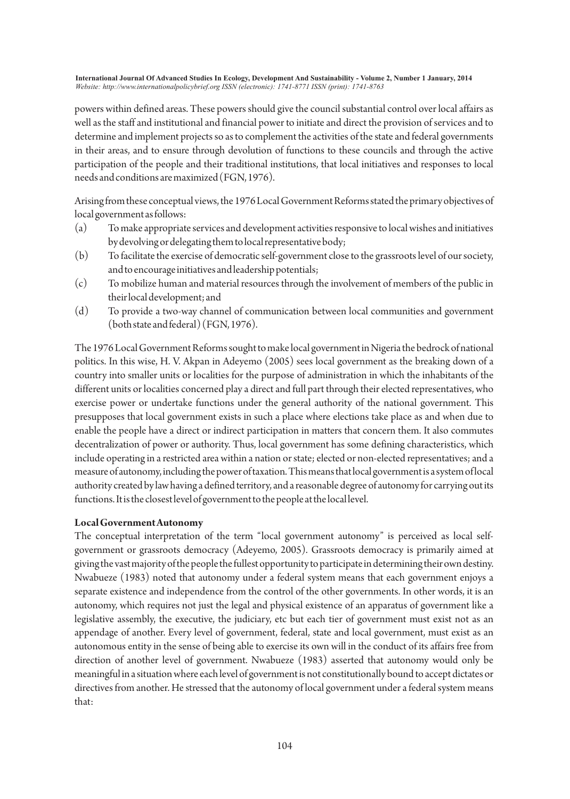powers within defined areas. These powers should give the council substantial control over local affairs as well as the staff and institutional and financial power to initiate and direct the provision of services and to determine and implement projects so as to complement the activities of the state and federal governments in their areas, and to ensure through devolution of functions to these councils and through the active participation of the people and their traditional institutions, that local initiatives and responses to local needs and conditions are maximized (FGN, 1976).

Arising from these conceptual views, the 1976 Local Government Reforms stated the primary objectives of local government as follows:

- (a) To make appropriate services and development activities responsive to local wishes and initiatives by devolving or delegating them to local representative body;
- (b) To facilitate the exercise of democratic self-government close to the grassroots level of our society, and to encourage initiatives and leadership potentials;
- (c) To mobilize human and material resources through the involvement of members of the public in their local development; and
- (d) To provide a two-way channel of communication between local communities and government (both state and federal) (FGN, 1976).

The 1976 Local Government Reforms sought to make local government in Nigeria the bedrock of national politics. In this wise, H. V. Akpan in Adeyemo (2005) sees local government as the breaking down of a country into smaller units or localities for the purpose of administration in which the inhabitants of the different units or localities concerned play a direct and full part through their elected representatives, who exercise power or undertake functions under the general authority of the national government. This presupposes that local government exists in such a place where elections take place as and when due to enable the people have a direct or indirect participation in matters that concern them. It also commutes decentralization of power or authority. Thus, local government has some defining characteristics, which include operating in a restricted area within a nation or state; elected or non-elected representatives; and a measure of autonomy, including the power of taxation. This means that local government is a system of local authority created by law having a defined territory, and a reasonable degree of autonomy for carrying out its functions. It is the closest level of government to the people at the local level.

## **Local Government Autonomy**

The conceptual interpretation of the term "local government autonomy" is perceived as local selfgovernment or grassroots democracy (Adeyemo, 2005). Grassroots democracy is primarily aimed at giving the vast majority of the people the fullest opportunity to participate in determining their own destiny. Nwabueze (1983) noted that autonomy under a federal system means that each government enjoys a separate existence and independence from the control of the other governments. In other words, it is an autonomy, which requires not just the legal and physical existence of an apparatus of government like a legislative assembly, the executive, the judiciary, etc but each tier of government must exist not as an appendage of another. Every level of government, federal, state and local government, must exist as an autonomous entity in the sense of being able to exercise its own will in the conduct of its affairs free from direction of another level of government. Nwabueze (1983) asserted that autonomy would only be meaningful in a situation where each level of government is not constitutionally bound to accept dictates or directives from another. He stressed that the autonomy of local government under a federal system means that: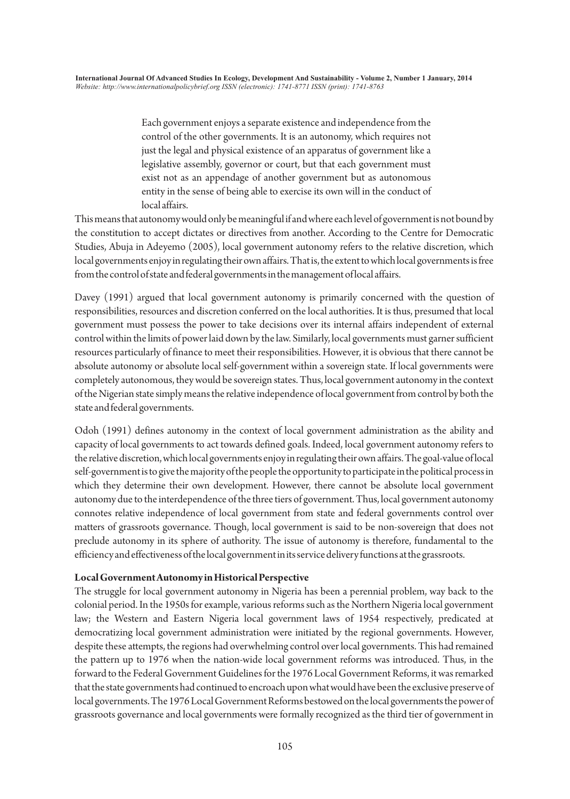Each government enjoys a separate existence and independence from the control of the other governments. It is an autonomy, which requires not just the legal and physical existence of an apparatus of government like a legislative assembly, governor or court, but that each government must exist not as an appendage of another government but as autonomous entity in the sense of being able to exercise its own will in the conduct of local affairs.

This means that autonomy would only be meaningful if and where each level of government is not bound by the constitution to accept dictates or directives from another. According to the Centre for Democratic Studies, Abuja in Adeyemo (2005), local government autonomy refers to the relative discretion, which local governments enjoy in regulating their own affairs. That is, the extent to which local governments is free from the control of state and federal governments in the management of local affairs.

Davey (1991) argued that local government autonomy is primarily concerned with the question of responsibilities, resources and discretion conferred on the local authorities. It is thus, presumed that local government must possess the power to take decisions over its internal affairs independent of external control within the limits of power laid down by the law. Similarly, local governments must garner sufficient resources particularly of finance to meet their responsibilities. However, it is obvious that there cannot be absolute autonomy or absolute local self-government within a sovereign state. If local governments were completely autonomous, they would be sovereign states. Thus, local government autonomy in the context of the Nigerian state simply means the relative independence of local government from control by both the state and federal governments.

Odoh (1991) defines autonomy in the context of local government administration as the ability and capacity of local governments to act towards defined goals. Indeed, local government autonomy refers to the relative discretion, which local governments enjoy in regulating their own affairs. The goal-value of local self-government is to give the majority of the people the opportunity to participate in the political process in which they determine their own development. However, there cannot be absolute local government autonomy due to the interdependence of the three tiers of government. Thus, local government autonomy connotes relative independence of local government from state and federal governments control over matters of grassroots governance. Though, local government is said to be non-sovereign that does not preclude autonomy in its sphere of authority. The issue of autonomy is therefore, fundamental to the efficiency and effectiveness of the local government in its service delivery functions at the grassroots.

# **Local Government Autonomy in Historical Perspective**

The struggle for local government autonomy in Nigeria has been a perennial problem, way back to the colonial period. In the 1950s for example, various reforms such as the Northern Nigeria local government law; the Western and Eastern Nigeria local government laws of 1954 respectively, predicated at democratizing local government administration were initiated by the regional governments. However, despite these attempts, the regions had overwhelming control over local governments. This had remained the pattern up to 1976 when the nation-wide local government reforms was introduced. Thus, in the forward to the Federal Government Guidelines for the 1976 Local Government Reforms, it was remarked that the state governments had continued to encroach upon what would have been the exclusive preserve of local governments. The 1976 Local Government Reforms bestowed on the local governments the power of grassroots governance and local governments were formally recognized as the third tier of government in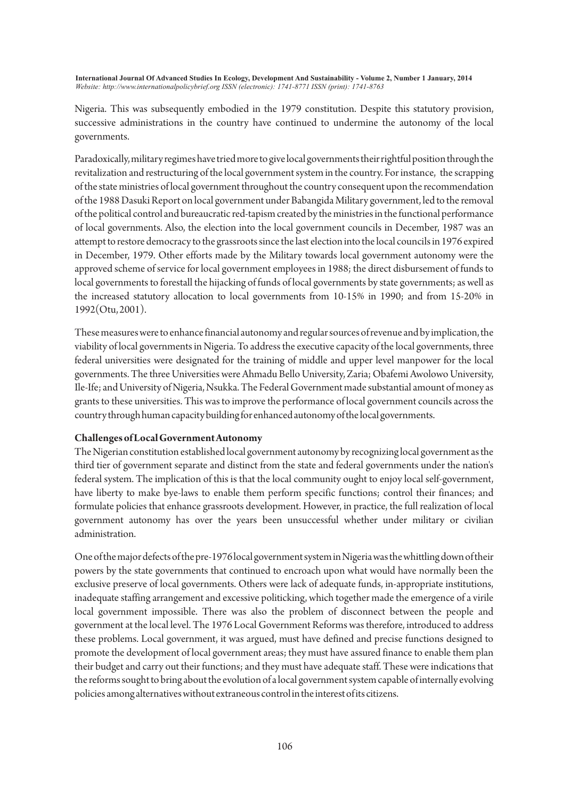Nigeria. This was subsequently embodied in the 1979 constitution. Despite this statutory provision, successive administrations in the country have continued to undermine the autonomy of the local governments.

Paradoxically, military regimes have tried more to give local governments their rightful position through the revitalization and restructuring of the local government system in the country. For instance, the scrapping of the state ministries of local government throughout the country consequent upon the recommendation of the 1988 Dasuki Report on local government under Babangida Military government, led to the removal of the political control and bureaucratic red-tapism created by the ministries in the functional performance of local governments. Also, the election into the local government councils in December, 1987 was an attempt to restore democracy to the grassroots since the last election into the local councils in 1976 expired in December, 1979. Other efforts made by the Military towards local government autonomy were the approved scheme of service for local government employees in 1988; the direct disbursement of funds to local governments to forestall the hijacking of funds of local governments by state governments; as well as the increased statutory allocation to local governments from 10-15% in 1990; and from 15-20% in 1992(Otu, 2001).

These measures were to enhance financial autonomy and regular sources of revenue and by implication, the viability of local governments in Nigeria. To address the executive capacity of the local governments, three federal universities were designated for the training of middle and upper level manpower for the local governments. The three Universities were Ahmadu Bello University, Zaria; Obafemi Awolowo University, Ile-Ife; and University of Nigeria, Nsukka. The Federal Government made substantial amount of money as grants to these universities. This was to improve the performance of local government councils across the country through human capacity building for enhanced autonomy of the local governments.

## **Challenges of Local Government Autonomy**

The Nigerian constitution established local government autonomy by recognizing local government as the third tier of government separate and distinct from the state and federal governments under the nation's federal system. The implication of this is that the local community ought to enjoy local self-government, have liberty to make bye-laws to enable them perform specific functions; control their finances; and formulate policies that enhance grassroots development. However, in practice, the full realization of local government autonomy has over the years been unsuccessful whether under military or civilian administration.

One of the major defects of the pre-1976 local government system in Nigeria was the whittling down of their powers by the state governments that continued to encroach upon what would have normally been the exclusive preserve of local governments. Others were lack of adequate funds, in-appropriate institutions, inadequate staffing arrangement and excessive politicking, which together made the emergence of a virile local government impossible. There was also the problem of disconnect between the people and government at the local level. The 1976 Local Government Reforms was therefore, introduced to address these problems. Local government, it was argued, must have defined and precise functions designed to promote the development of local government areas; they must have assured finance to enable them plan their budget and carry out their functions; and they must have adequate staff. These were indications that the reforms sought to bring about the evolution of a local government system capable of internally evolving policies among alternatives without extraneous control in the interest of its citizens.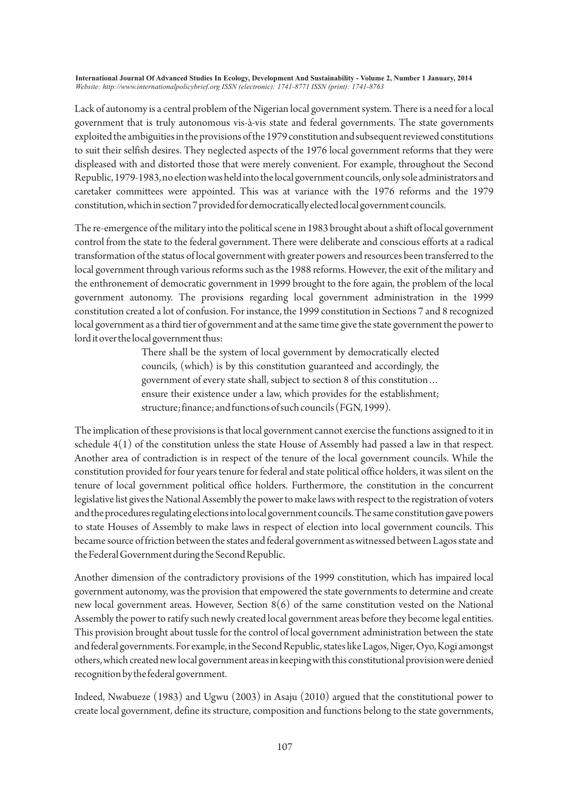Lack of autonomy is a central problem of the Nigerian local government system. There is a need for a local government that is truly autonomous vis-à-vis state and federal governments. The state governments exploited the ambiguities in the provisions of the 1979 constitution and subsequent reviewed constitutions to suit their selfish desires. They neglected aspects of the 1976 local government reforms that they were displeased with and distorted those that were merely convenient. For example, throughout the Second Republic, 1979-1983, no election was held into the local government councils, only sole administrators and caretaker committees were appointed. This was at variance with the 1976 reforms and the 1979 constitution, which in section 7 provided for democratically elected local government councils.

The re-emergence of the military into the political scene in 1983 brought about a shift of local government control from the state to the federal government. There were deliberate and conscious efforts at a radical transformation of the status of local government with greater powers and resources been transferred to the local government through various reforms such as the 1988 reforms. However, the exit of the military and the enthronement of democratic government in 1999 brought to the fore again, the problem of the local government autonomy. The provisions regarding local government administration in the 1999 constitution created a lot of confusion. For instance, the 1999 constitution in Sections 7 and 8 recognized local government as a third tier of government and at the same time give the state government the power to lord it over the local government thus:

> There shall be the system of local government by democratically elected councils, (which) is by this constitution guaranteed and accordingly, the government of every state shall, subject to section 8 of this constitution… ensure their existence under a law, which provides for the establishment; structure; finance; and functions of such councils (FGN, 1999).

The implication of these provisions is that local government cannot exercise the functions assigned to it in schedule 4(1) of the constitution unless the state House of Assembly had passed a law in that respect. Another area of contradiction is in respect of the tenure of the local government councils. While the constitution provided for four years tenure for federal and state political office holders, it was silent on the tenure of local government political office holders. Furthermore, the constitution in the concurrent legislative list gives the National Assembly the power to make laws with respect to the registration of voters and the procedures regulating elections into local government councils. The same constitution gave powers to state Houses of Assembly to make laws in respect of election into local government councils. This became source of friction between the states and federal government as witnessed between Lagos state and the Federal Government during the Second Republic.

Another dimension of the contradictory provisions of the 1999 constitution, which has impaired local government autonomy, was the provision that empowered the state governments to determine and create new local government areas. However, Section 8(6) of the same constitution vested on the National Assembly the power to ratify such newly created local government areas before they become legal entities. This provision brought about tussle for the control of local government administration between the state and federal governments. For example, in the Second Republic, states like Lagos, Niger, Oyo, Kogi amongst others, which created new local government areas in keeping with this constitutional provision were denied recognition by the federal government.

Indeed, Nwabueze (1983) and Ugwu (2003) in Asaju (2010) argued that the constitutional power to create local government, define its structure, composition and functions belong to the state governments,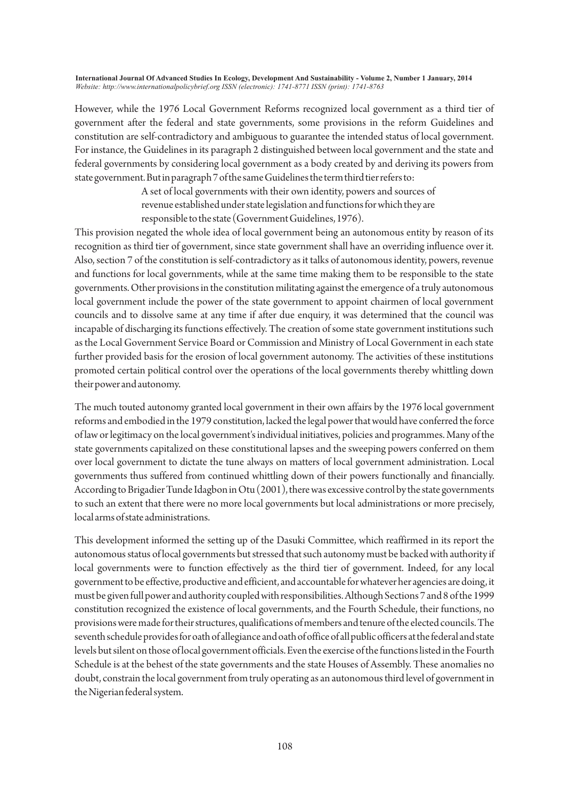However, while the 1976 Local Government Reforms recognized local government as a third tier of government after the federal and state governments, some provisions in the reform Guidelines and constitution are self-contradictory and ambiguous to guarantee the intended status of local government. For instance, the Guidelines in its paragraph 2 distinguished between local government and the state and federal governments by considering local government as a body created by and deriving its powers from state government. But in paragraph 7 of the same Guidelines the term third tier refers to:

> A set of local governments with their own identity, powers and sources of revenue established under state legislation and functions for which they are responsible to the state (Government Guidelines, 1976).

This provision negated the whole idea of local government being an autonomous entity by reason of its recognition as third tier of government, since state government shall have an overriding influence over it. Also, section 7 of the constitution is self-contradictory as it talks of autonomous identity, powers, revenue and functions for local governments, while at the same time making them to be responsible to the state governments. Other provisions in the constitution militating against the emergence of a truly autonomous local government include the power of the state government to appoint chairmen of local government councils and to dissolve same at any time if after due enquiry, it was determined that the council was incapable of discharging its functions effectively. The creation of some state government institutions such as the Local Government Service Board or Commission and Ministry of Local Government in each state further provided basis for the erosion of local government autonomy. The activities of these institutions promoted certain political control over the operations of the local governments thereby whittling down their power and autonomy.

The much touted autonomy granted local government in their own affairs by the 1976 local government reforms and embodied in the 1979 constitution, lacked the legal power that would have conferred the force of law or legitimacy on the local government's individual initiatives, policies and programmes. Many of the state governments capitalized on these constitutional lapses and the sweeping powers conferred on them over local government to dictate the tune always on matters of local government administration. Local governments thus suffered from continued whittling down of their powers functionally and financially. According to Brigadier Tunde Idagbon in Otu (2001), there was excessive control by the state governments to such an extent that there were no more local governments but local administrations or more precisely, local arms of state administrations.

This development informed the setting up of the Dasuki Committee, which reaffirmed in its report the autonomous status of local governments but stressed that such autonomy must be backed with authority if local governments were to function effectively as the third tier of government. Indeed, for any local government to be effective, productive and efficient, and accountable for whatever her agencies are doing, it must be given full power and authority coupled with responsibilities. Although Sections 7 and 8 of the 1999 constitution recognized the existence of local governments, and the Fourth Schedule, their functions, no provisions were made for their structures, qualifications of members and tenure of the elected councils. The seventh schedule provides for oath of allegiance and oath of office of all public officers at the federal and state levels but silent on those of local government officials. Even the exercise of the functions listed in the Fourth Schedule is at the behest of the state governments and the state Houses of Assembly. These anomalies no doubt, constrain the local government from truly operating as an autonomous third level of government in the Nigerian federal system.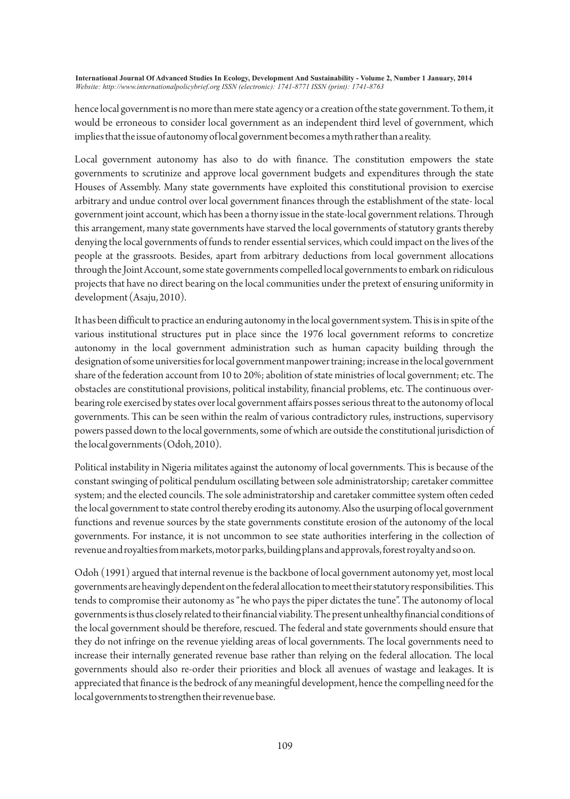hence local government is no more than mere state agency or a creation of the state government. To them, it would be erroneous to consider local government as an independent third level of government, which implies that the issue of autonomy of local government becomes a myth rather than a reality.

Local government autonomy has also to do with finance. The constitution empowers the state governments to scrutinize and approve local government budgets and expenditures through the state Houses of Assembly. Many state governments have exploited this constitutional provision to exercise arbitrary and undue control over local government finances through the establishment of the state- local government joint account, which has been a thorny issue in the state-local government relations. Through this arrangement, many state governments have starved the local governments of statutory grants thereby denying the local governments of funds to render essential services, which could impact on the lives of the people at the grassroots. Besides, apart from arbitrary deductions from local government allocations through the Joint Account, some state governments compelled local governments to embark on ridiculous projects that have no direct bearing on the local communities under the pretext of ensuring uniformity in development (Asaju, 2010).

It has been difficult to practice an enduring autonomy in the local government system. This is in spite of the various institutional structures put in place since the 1976 local government reforms to concretize autonomy in the local government administration such as human capacity building through the designation of some universities for local government manpower training; increase in the local government share of the federation account from 10 to 20%; abolition of state ministries of local government; etc. The obstacles are constitutional provisions, political instability, financial problems, etc. The continuous overbearing role exercised by states over local government affairs posses serious threat to the autonomy of local governments. This can be seen within the realm of various contradictory rules, instructions, supervisory powers passed down to the local governments, some of which are outside the constitutional jurisdiction of the local governments (Odoh, 2010).

Political instability in Nigeria militates against the autonomy of local governments. This is because of the constant swinging of political pendulum oscillating between sole administratorship; caretaker committee system; and the elected councils. The sole administratorship and caretaker committee system often ceded the local government to state control thereby eroding its autonomy. Also the usurping of local government functions and revenue sources by the state governments constitute erosion of the autonomy of the local governments. For instance, it is not uncommon to see state authorities interfering in the collection of revenue and royalties from markets, motor parks, building plans and approvals, forest royalty and so on.

Odoh (1991) argued that internal revenue is the backbone of local government autonomy yet, most local governments are heavingly dependent on the federal allocation to meet their statutory responsibilities. This tends to compromise their autonomy as "he who pays the piper dictates the tune". The autonomy of local governments is thus closely related to their financial viability. The present unhealthy financial conditions of the local government should be therefore, rescued. The federal and state governments should ensure that they do not infringe on the revenue yielding areas of local governments. The local governments need to increase their internally generated revenue base rather than relying on the federal allocation. The local governments should also re-order their priorities and block all avenues of wastage and leakages. It is appreciated that finance is the bedrock of any meaningful development, hence the compelling need for the local governments to strengthen their revenue base.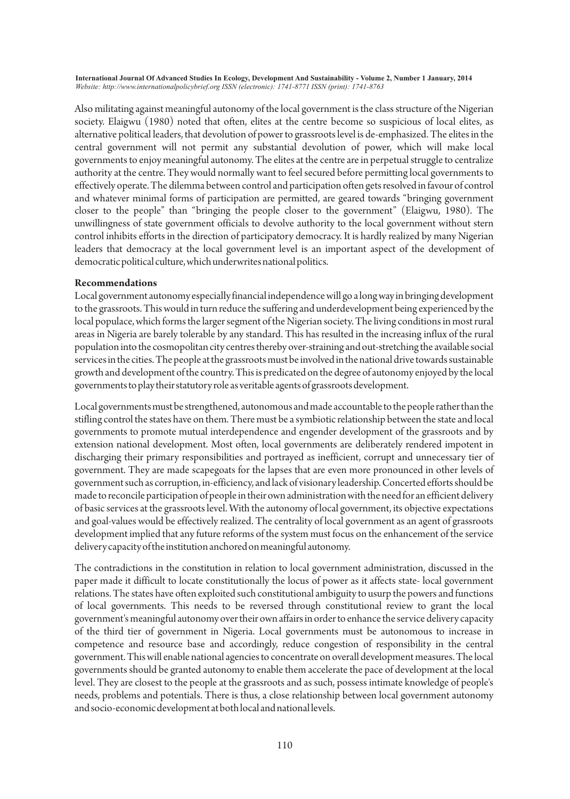Also militating against meaningful autonomy of the local government is the class structure of the Nigerian society. Elaigwu (1980) noted that often, elites at the centre become so suspicious of local elites, as alternative political leaders, that devolution of power to grassroots level is de-emphasized. The elites in the central government will not permit any substantial devolution of power, which will make local governments to enjoy meaningful autonomy. The elites at the centre are in perpetual struggle to centralize authority at the centre. They would normally want to feel secured before permitting local governments to effectively operate. The dilemma between control and participation often gets resolved in favour of control and whatever minimal forms of participation are permitted, are geared towards "bringing government closer to the people" than "bringing the people closer to the government" (Elaigwu, 1980). The unwillingness of state government officials to devolve authority to the local government without stern control inhibits efforts in the direction of participatory democracy. It is hardly realized by many Nigerian leaders that democracy at the local government level is an important aspect of the development of democratic political culture, which underwrites national politics.

## **Recommendations**

Local government autonomy especially financial independence will go a long way in bringing development to the grassroots. This would in turn reduce the suffering and underdevelopment being experienced by the local populace, which forms the larger segment of the Nigerian society. The living conditions in most rural areas in Nigeria are barely tolerable by any standard. This has resulted in the increasing influx of the rural population into the cosmopolitan city centres thereby over-straining and out-stretching the available social services in the cities. The people at the grassroots must be involved in the national drive towards sustainable growth and development of the country. This is predicated on the degree of autonomy enjoyed by the local governments to play their statutory role as veritable agents of grassroots development.

Local governments must be strengthened, autonomous and made accountable to the people rather than the stifling control the states have on them. There must be a symbiotic relationship between the state and local governments to promote mutual interdependence and engender development of the grassroots and by extension national development. Most often, local governments are deliberately rendered impotent in discharging their primary responsibilities and portrayed as inefficient, corrupt and unnecessary tier of government. They are made scapegoats for the lapses that are even more pronounced in other levels of government such as corruption, in-efficiency, and lack of visionary leadership. Concerted efforts should be made to reconcile participation of people in their own administration with the need for an efficient delivery of basic services at the grassroots level. With the autonomy of local government, its objective expectations and goal-values would be effectively realized. The centrality of local government as an agent of grassroots development implied that any future reforms of the system must focus on the enhancement of the service delivery capacity of the institution anchored on meaningful autonomy.

The contradictions in the constitution in relation to local government administration, discussed in the paper made it difficult to locate constitutionally the locus of power as it affects state- local government relations. The states have often exploited such constitutional ambiguity to usurp the powers and functions of local governments. This needs to be reversed through constitutional review to grant the local government's meaningful autonomy over their own affairs in order to enhance the service delivery capacity of the third tier of government in Nigeria. Local governments must be autonomous to increase in competence and resource base and accordingly, reduce congestion of responsibility in the central government. This will enable national agencies to concentrate on overall development measures. The local governments should be granted autonomy to enable them accelerate the pace of development at the local level. They are closest to the people at the grassroots and as such, possess intimate knowledge of people's needs, problems and potentials. There is thus, a close relationship between local government autonomy and socio-economic development at both local and national levels.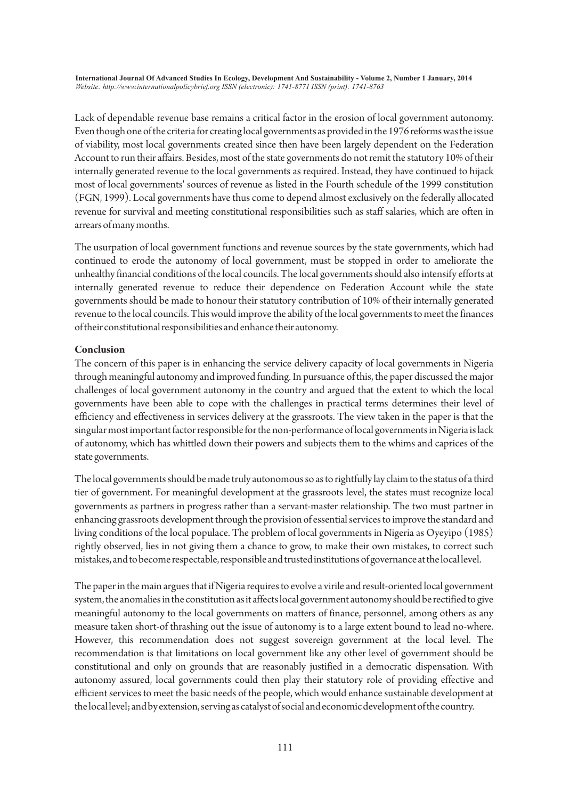Lack of dependable revenue base remains a critical factor in the erosion of local government autonomy. Even though one of the criteria for creating local governments as provided in the 1976 reforms was the issue of viability, most local governments created since then have been largely dependent on the Federation Account to run their affairs. Besides, most of the state governments do not remit the statutory 10% of their internally generated revenue to the local governments as required. Instead, they have continued to hijack most of local governments' sources of revenue as listed in the Fourth schedule of the 1999 constitution (FGN, 1999). Local governments have thus come to depend almost exclusively on the federally allocated revenue for survival and meeting constitutional responsibilities such as staff salaries, which are often in arrears of many months.

The usurpation of local government functions and revenue sources by the state governments, which had continued to erode the autonomy of local government, must be stopped in order to ameliorate the unhealthy financial conditions of the local councils. The local governments should also intensify efforts at internally generated revenue to reduce their dependence on Federation Account while the state governments should be made to honour their statutory contribution of 10% of their internally generated revenue to the local councils. This would improve the ability of the local governments to meet the finances of their constitutional responsibilities and enhance their autonomy.

# **Conclusion**

The concern of this paper is in enhancing the service delivery capacity of local governments in Nigeria through meaningful autonomy and improved funding. In pursuance of this, the paper discussed the major challenges of local government autonomy in the country and argued that the extent to which the local governments have been able to cope with the challenges in practical terms determines their level of efficiency and effectiveness in services delivery at the grassroots. The view taken in the paper is that the singular most important factor responsible for the non-performance of local governments in Nigeria is lack of autonomy, which has whittled down their powers and subjects them to the whims and caprices of the state governments.

The local governments should be made truly autonomous so as to rightfully lay claim to the status of a third tier of government. For meaningful development at the grassroots level, the states must recognize local governments as partners in progress rather than a servant-master relationship. The two must partner in enhancing grassroots development through the provision of essential services to improve the standard and living conditions of the local populace. The problem of local governments in Nigeria as Oyeyipo (1985) rightly observed, lies in not giving them a chance to grow, to make their own mistakes, to correct such mistakes, and to become respectable, responsible and trusted institutions of governance at the local level.

The paper in the main argues that if Nigeria requires to evolve a virile and result-oriented local government system, the anomalies in the constitution as it affects local government autonomy should be rectified to give meaningful autonomy to the local governments on matters of finance, personnel, among others as any measure taken short-of thrashing out the issue of autonomy is to a large extent bound to lead no-where. However, this recommendation does not suggest sovereign government at the local level. The recommendation is that limitations on local government like any other level of government should be constitutional and only on grounds that are reasonably justified in a democratic dispensation. With autonomy assured, local governments could then play their statutory role of providing effective and efficient services to meet the basic needs of the people, which would enhance sustainable development at the local level; and by extension, serving as catalyst of social and economic development of the country.